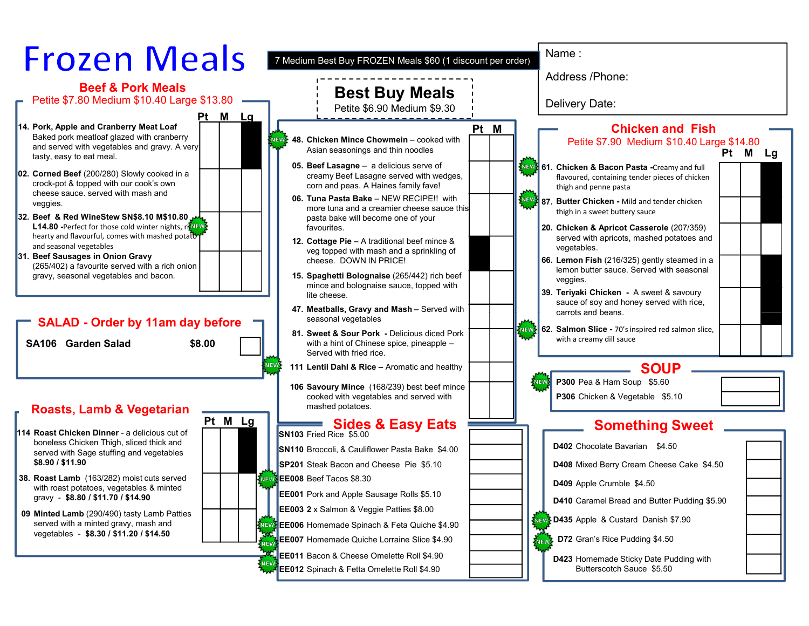